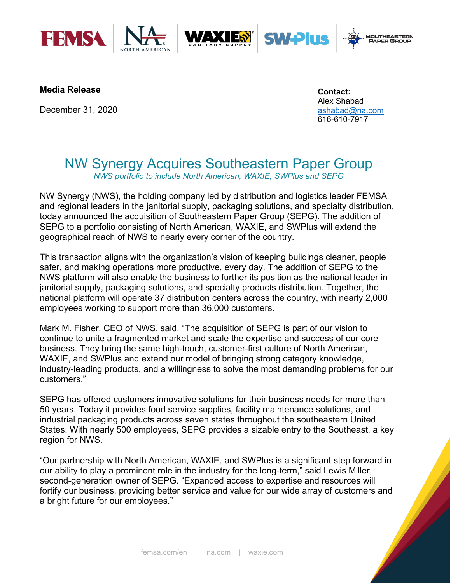





## **Media Release**

December 31, 2020

**Contact:**  Alex Shabad [ashabad@na.com](mailto:ashabad@na.com) 616-610-7917

**SW-Plus** 

# NW Synergy Acquires Southeastern Paper Group *NWS portfolio to include North American, WAXIE, SWPlus and SEPG*

NW Synergy (NWS), the holding company led by distribution and logistics leader FEMSA and regional leaders in the janitorial supply, packaging solutions, and specialty distribution, today announced the acquisition of Southeastern Paper Group (SEPG). The addition of SEPG to a portfolio consisting of North American, WAXIE, and SWPlus will extend the geographical reach of NWS to nearly every corner of the country.

This transaction aligns with the organization's vision of keeping buildings cleaner, people safer, and making operations more productive, every day. The addition of SEPG to the NWS platform will also enable the business to further its position as the national leader in janitorial supply, packaging solutions, and specialty products distribution. Together, the national platform will operate 37 distribution centers across the country, with nearly 2,000 employees working to support more than 36,000 customers.

Mark M. Fisher, CEO of NWS, said, "The acquisition of SEPG is part of our vision to continue to unite a fragmented market and scale the expertise and success of our core business. They bring the same high-touch, customer-first culture of North American, WAXIE, and SWPlus and extend our model of bringing strong category knowledge, industry-leading products, and a willingness to solve the most demanding problems for our customers."

SEPG has offered customers innovative solutions for their business needs for more than 50 years. Today it provides food service supplies, facility maintenance solutions, and industrial packaging products across seven states throughout the southeastern United States. With nearly 500 employees, SEPG provides a sizable entry to the Southeast, a key region for NWS.

"Our partnership with North American, WAXIE, and SWPlus is a significant step forward in our ability to play a prominent role in the industry for the long-term," said Lewis Miller, second-generation owner of SEPG. "Expanded access to expertise and resources will fortify our business, providing better service and value for our wide array of customers and a bright future for our employees."